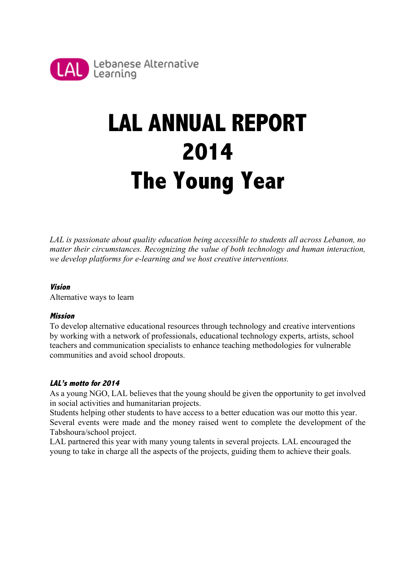

# **LAL ANNUAL REPORT 2014 The Young Year**

*LAL is passionate about quality education being accessible to students all across Lebanon, no matter their circumstances. Recognizing the value of both technology and human interaction, we develop platforms for e-learning and we host creative interventions.* 

#### **Vision**

Alternative ways to learn

#### **Mission**

To develop alternative educational resources through technology and creative interventions by working with a network of professionals, educational technology experts, artists, school teachers and communication specialists to enhance teaching methodologies for vulnerable communities and avoid school dropouts.

#### **LAL's motto for 2014**

As a young NGO, LAL believes that the young should be given the opportunity to get involved in social activities and humanitarian projects.

Students helping other students to have access to a better education was our motto this year. Several events were made and the money raised went to complete the development of the Tabshoura/school project.

LAL partnered this year with many young talents in several projects. LAL encouraged the young to take in charge all the aspects of the projects, guiding them to achieve their goals.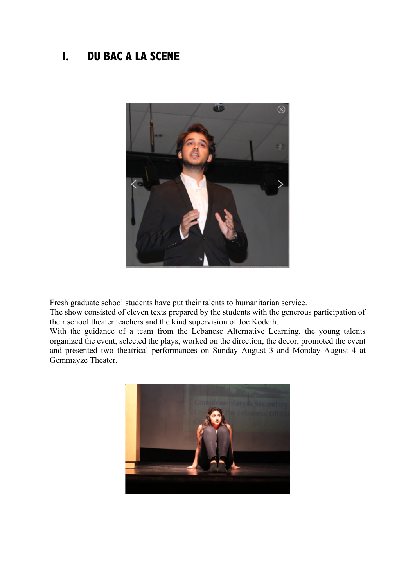## **I. DU BAC A LA SCENE**



Fresh graduate school students have put their talents to humanitarian service.

The show consisted of eleven texts prepared by the students with the generous participation of their school theater teachers and the kind supervision of Joe Kodeih.

With the guidance of a team from the Lebanese Alternative Learning, the young talents organized the event, selected the plays, worked on the direction, the decor, promoted the event and presented two theatrical performances on Sunday August 3 and Monday August 4 at Gemmayze Theater.

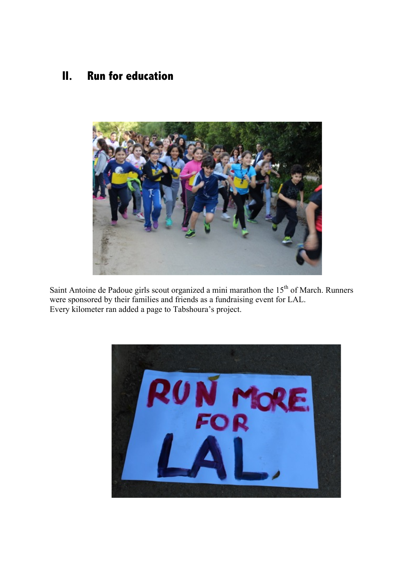### **II. Run for education**



Saint Antoine de Padoue girls scout organized a mini marathon the 15<sup>th</sup> of March. Runners were sponsored by their families and friends as a fundraising event for LAL. Every kilometer ran added a page to Tabshoura's project.

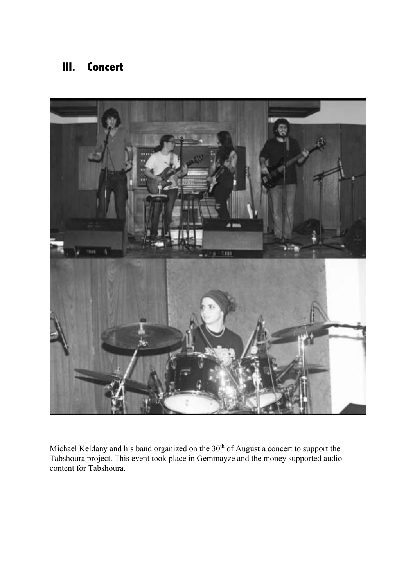## **III. Concert**



Michael Keldany and his band organized on the  $30<sup>th</sup>$  of August a concert to support the Tabshoura project. This event took place in Gemmayze and the money supported audio content for Tabshoura.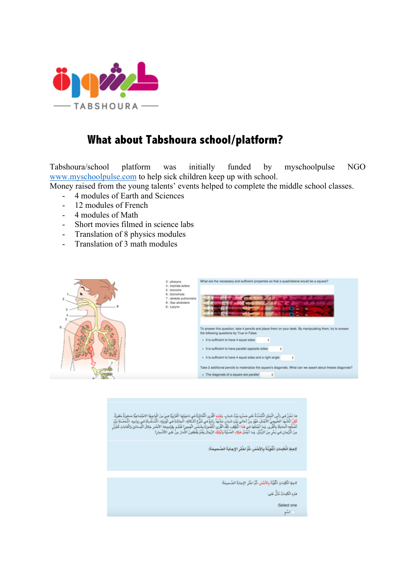

## **What about Tabshoura school/platform?**

Tabshoura/school platform was initially funded by myschoolpulse NGO www.myschoolpulse.com to help sick children keep up with school.

Money raised from the young talents' events helped to complete the middle school classes.

- 4 modules of Earth and Sciences
- 12 modules of French
- 4 modules of Math
- Short movies filmed in science labs
- Translation of 8 physics modules
- Translation of 3 math modules



ما تَحْنُ من رَأْبِ الْجَبَا انْتَنَدَهُ عَلى صَدْرِهِ بَيْتُ شبابِ وَهَلِهِ اللّذِي الْتَنَائِرَةُ مِن نَجِرَ<br>لَكِنَّ الْشَهْدِ الطَّيمِيِّ الأَجْنَاءِ فَوَرَ مِنْ أَعالى بَيْتِ شبابِ تَشْهَدُ رائِعُ مِن تَنْزُجُ الْجَائ

الإجلاءِ الْكَلِمَاتِ الْمُلُوَيَّةَ بِالأَحْمَى ثُمَّ اخْتُر الإجابَةَ الصُحيحَةِ:

لاجِبَةِ الْكَلِمَاتِ الْلَّوِّيَّةَ بِالْأَهْمَرِ، ثُمَّ اخْتَر الإجابَةَ الصُحيحَةَ:

هَٰنَهِ الْكَٰلِمَاتُ ثَنَلُّ عَلَى:

:Select one 0اشى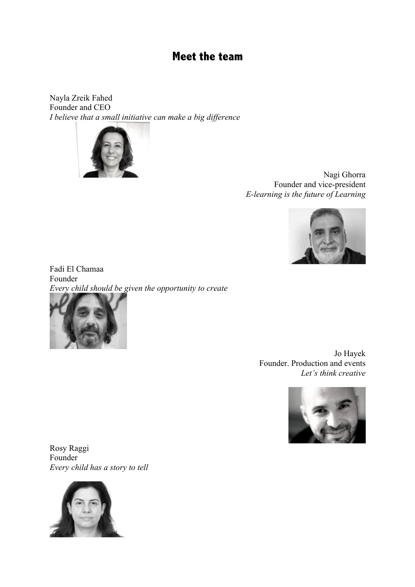#### **Meet the team**

Nayla Zreik Fahed Founder and CEO *I believe that a small initiative can make a big difference* 



Nagi Ghorra Founder and vice-president *E-learning is the future of Learning* 



Fadi El Chamaa Founder *Every child should be given the opportunity to create* 



Jo Hayek Founder. Production and events *Let's think creative* 



Rosy Raggi Founder *Every child has a story to tell*